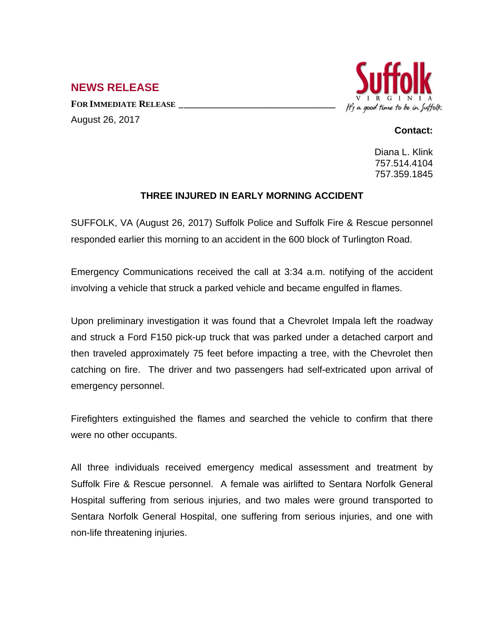## **NEWS RELEASE**

**FOR IMMEDIATE RELEASE \_\_\_\_\_\_\_\_\_\_\_\_\_\_\_\_\_\_\_\_\_\_\_\_\_\_\_\_\_\_\_\_\_** August 26, 2017



## **Contact:**

Diana L. Klink 757.514.4104 757.359.1845

## **THREE INJURED IN EARLY MORNING ACCIDENT**

SUFFOLK, VA (August 26, 2017) Suffolk Police and Suffolk Fire & Rescue personnel responded earlier this morning to an accident in the 600 block of Turlington Road.

Emergency Communications received the call at 3:34 a.m. notifying of the accident involving a vehicle that struck a parked vehicle and became engulfed in flames.

Upon preliminary investigation it was found that a Chevrolet Impala left the roadway and struck a Ford F150 pick-up truck that was parked under a detached carport and then traveled approximately 75 feet before impacting a tree, with the Chevrolet then catching on fire. The driver and two passengers had self-extricated upon arrival of emergency personnel.

Firefighters extinguished the flames and searched the vehicle to confirm that there were no other occupants.

All three individuals received emergency medical assessment and treatment by Suffolk Fire & Rescue personnel. A female was airlifted to Sentara Norfolk General Hospital suffering from serious injuries, and two males were ground transported to Sentara Norfolk General Hospital, one suffering from serious injuries, and one with non-life threatening injuries.